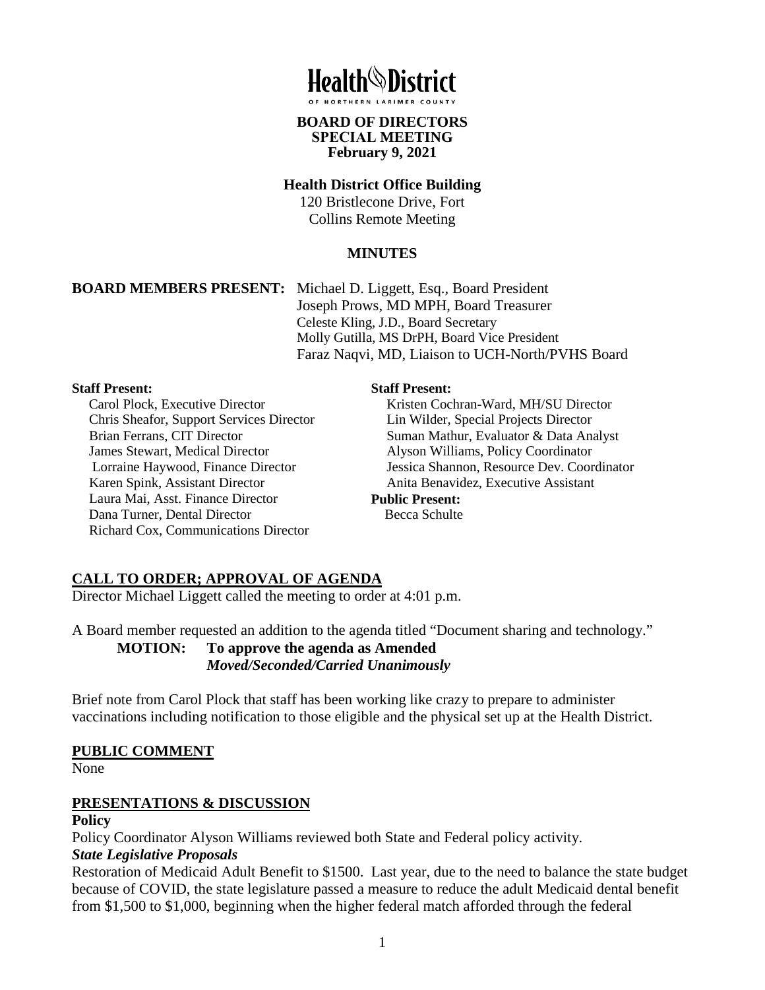

**BOARD OF DIRECTORS** 

# **SPECIAL MEETING February 9, 2021**

## **Health District Office Building**

120 Bristlecone Drive, Fort Collins Remote Meeting

## **MINUTES**

**BOARD MEMBERS PRESENT:** Michael D. Liggett, Esq., Board President Joseph Prows, MD MPH, Board Treasurer Celeste Kling, J.D., Board Secretary Molly Gutilla, MS DrPH, Board Vice President Faraz Naqvi, MD, Liaison to UCH-North/PVHS Board

#### **Staff Present:**

Carol Plock, Executive Director Chris Sheafor, Support Services Director Brian Ferrans, CIT Director James Stewart, Medical Director Lorraine Haywood, Finance Director Karen Spink, Assistant Director Laura Mai, Asst. Finance Director Dana Turner, Dental Director Richard Cox, Communications Director

#### **Staff Present:**

Kristen Cochran-Ward, MH/SU Director Lin Wilder, Special Projects Director Suman Mathur, Evaluator & Data Analyst Alyson Williams, Policy Coordinator Jessica Shannon, Resource Dev. Coordinator Anita Benavidez, Executive Assistant **Public Present:** Becca Schulte

# **CALL TO ORDER; APPROVAL OF AGENDA**

Director Michael Liggett called the meeting to order at 4:01 p.m.

A Board member requested an addition to the agenda titled "Document sharing and technology." **MOTION: To approve the agenda as Amended** *Moved/Seconded/Carried Unanimously* 

Brief note from Carol Plock that staff has been working like crazy to prepare to administer vaccinations including notification to those eligible and the physical set up at the Health District.

## **PUBLIC COMMENT**

None

# **PRESENTATIONS & DISCUSSION**

#### **Policy**

Policy Coordinator Alyson Williams reviewed both State and Federal policy activity.

## *State Legislative Proposals*

Restoration of Medicaid Adult Benefit to \$1500. Last year, due to the need to balance the state budget because of COVID, the state legislature passed a measure to reduce the adult Medicaid dental benefit from \$1,500 to \$1,000, beginning when the higher federal match afforded through the federal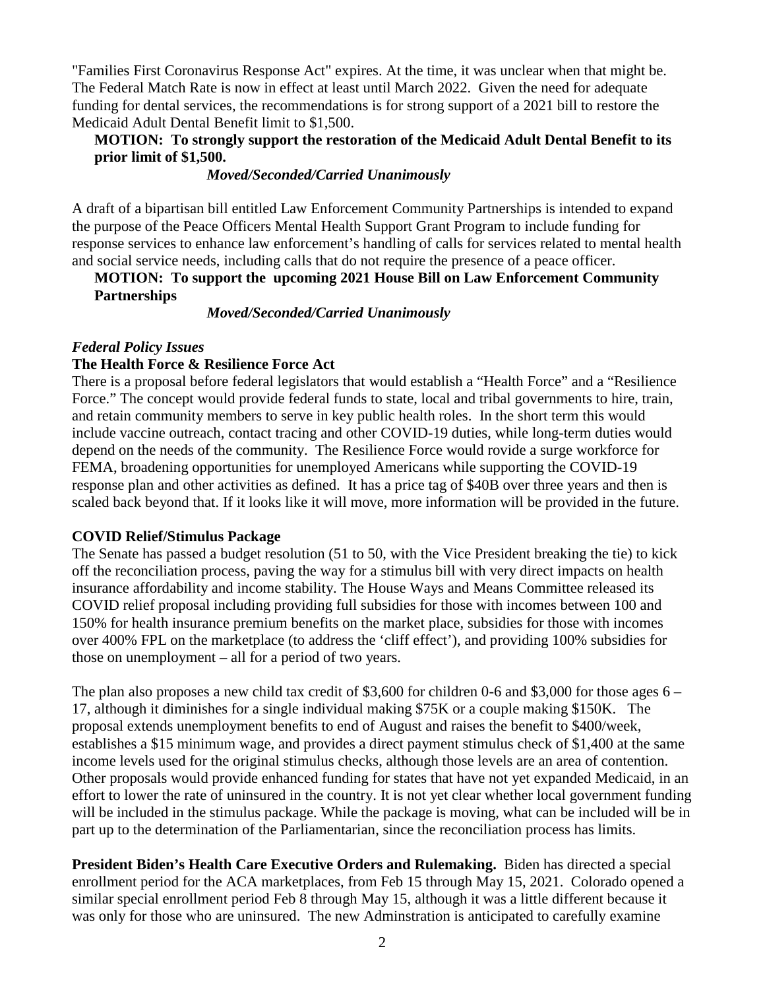"Families First Coronavirus Response Act" expires. At the time, it was unclear when that might be. The Federal Match Rate is now in effect at least until March 2022. Given the need for adequate funding for dental services, the recommendations is for strong support of a 2021 bill to restore the Medicaid Adult Dental Benefit limit to \$1,500.

### **MOTION: To strongly support the restoration of the Medicaid Adult Dental Benefit to its prior limit of \$1,500.**

#### *Moved/Seconded/Carried Unanimously*

A draft of a bipartisan bill entitled Law Enforcement Community Partnerships is intended to expand the purpose of the Peace Officers Mental Health Support Grant Program to include funding for response services to enhance law enforcement's handling of calls for services related to mental health and social service needs, including calls that do not require the presence of a peace officer.

### **MOTION: To support the upcoming 2021 House Bill on Law Enforcement Community Partnerships**

#### *Moved/Seconded/Carried Unanimously*

#### *Federal Policy Issues*

#### **The Health Force & Resilience Force Act**

There is a proposal before federal legislators that would establish a "Health Force" and a "Resilience Force." The concept would provide federal funds to state, local and tribal governments to hire, train, and retain community members to serve in key public health roles. In the short term this would include vaccine outreach, contact tracing and other COVID-19 duties, while long-term duties would depend on the needs of the community. The Resilience Force would rovide a surge workforce for FEMA, broadening opportunities for unemployed Americans while supporting the COVID-19 response plan and other activities as defined. It has a price tag of \$40B over three years and then is scaled back beyond that. If it looks like it will move, more information will be provided in the future.

#### **COVID Relief/Stimulus Package**

The Senate has passed a budget resolution (51 to 50, with the Vice President breaking the tie) to kick off the reconciliation process, paving the way for a stimulus bill with very direct impacts on health insurance affordability and income stability. The House Ways and Means Committee released its COVID relief proposal including providing full subsidies for those with incomes between 100 and 150% for health insurance premium benefits on the market place, subsidies for those with incomes over 400% FPL on the marketplace (to address the 'cliff effect'), and providing 100% subsidies for those on unemployment – all for a period of two years.

The plan also proposes a new child tax credit of \$3,600 for children 0-6 and \$3,000 for those ages 6 – 17, although it diminishes for a single individual making \$75K or a couple making \$150K. The proposal extends unemployment benefits to end of August and raises the benefit to \$400/week, establishes a \$15 minimum wage, and provides a direct payment stimulus check of \$1,400 at the same income levels used for the original stimulus checks, although those levels are an area of contention. Other proposals would provide enhanced funding for states that have not yet expanded Medicaid, in an effort to lower the rate of uninsured in the country. It is not yet clear whether local government funding will be included in the stimulus package. While the package is moving, what can be included will be in part up to the determination of the Parliamentarian, since the reconciliation process has limits.

**President Biden's Health Care Executive Orders and Rulemaking.** Biden has directed a special enrollment period for the ACA marketplaces, from Feb 15 through May 15, 2021. Colorado opened a similar special enrollment period Feb 8 through May 15, although it was a little different because it was only for those who are uninsured. The new Adminstration is anticipated to carefully examine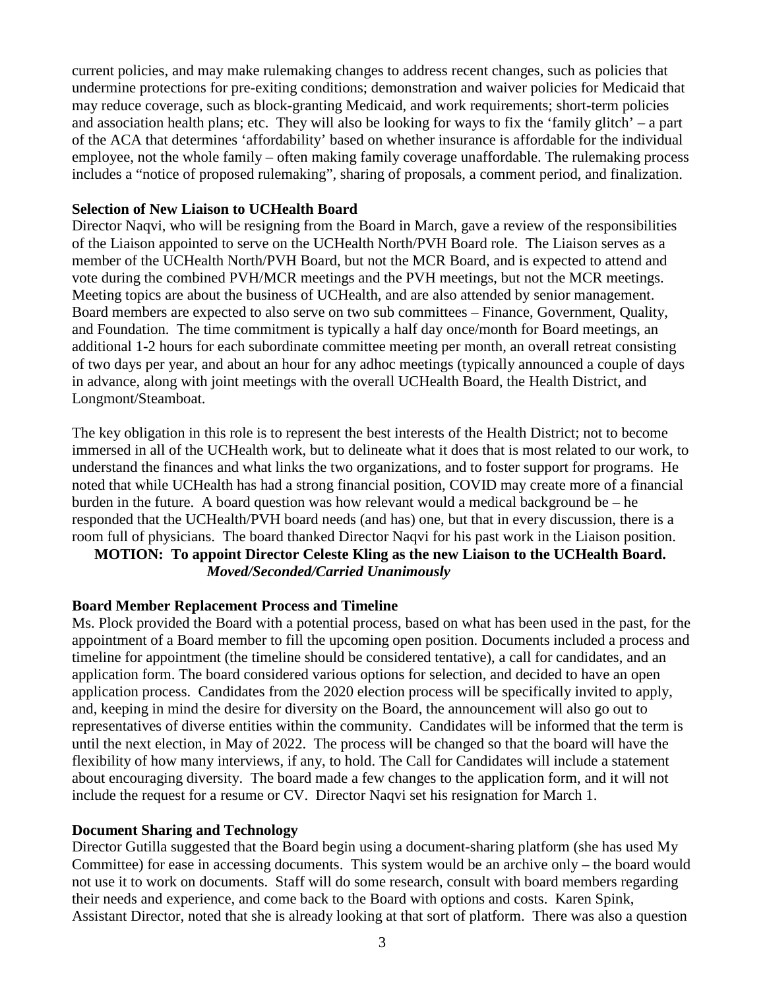current policies, and may make rulemaking changes to address recent changes, such as policies that undermine protections for pre-exiting conditions; demonstration and waiver policies for Medicaid that may reduce coverage, such as block-granting Medicaid, and work requirements; short-term policies and association health plans; etc. They will also be looking for ways to fix the 'family glitch' – a part of the ACA that determines 'affordability' based on whether insurance is affordable for the individual employee, not the whole family – often making family coverage unaffordable. The rulemaking process includes a "notice of proposed rulemaking", sharing of proposals, a comment period, and finalization.

#### **Selection of New Liaison to UCHealth Board**

Director Naqvi, who will be resigning from the Board in March, gave a review of the responsibilities of the Liaison appointed to serve on the UCHealth North/PVH Board role. The Liaison serves as a member of the UCHealth North/PVH Board, but not the MCR Board, and is expected to attend and vote during the combined PVH/MCR meetings and the PVH meetings, but not the MCR meetings. Meeting topics are about the business of UCHealth, and are also attended by senior management. Board members are expected to also serve on two sub committees – Finance, Government, Quality, and Foundation. The time commitment is typically a half day once/month for Board meetings, an additional 1-2 hours for each subordinate committee meeting per month, an overall retreat consisting of two days per year, and about an hour for any adhoc meetings (typically announced a couple of days in advance, along with joint meetings with the overall UCHealth Board, the Health District, and Longmont/Steamboat.

The key obligation in this role is to represent the best interests of the Health District; not to become immersed in all of the UCHealth work, but to delineate what it does that is most related to our work, to understand the finances and what links the two organizations, and to foster support for programs. He noted that while UCHealth has had a strong financial position, COVID may create more of a financial burden in the future. A board question was how relevant would a medical background be – he responded that the UCHealth/PVH board needs (and has) one, but that in every discussion, there is a room full of physicians. The board thanked Director Naqvi for his past work in the Liaison position.

## **MOTION: To appoint Director Celeste Kling as the new Liaison to the UCHealth Board.**  *Moved/Seconded/Carried Unanimously*

#### **Board Member Replacement Process and Timeline**

Ms. Plock provided the Board with a potential process, based on what has been used in the past, for the appointment of a Board member to fill the upcoming open position. Documents included a process and timeline for appointment (the timeline should be considered tentative), a call for candidates, and an application form. The board considered various options for selection, and decided to have an open application process. Candidates from the 2020 election process will be specifically invited to apply, and, keeping in mind the desire for diversity on the Board, the announcement will also go out to representatives of diverse entities within the community. Candidates will be informed that the term is until the next election, in May of 2022. The process will be changed so that the board will have the flexibility of how many interviews, if any, to hold. The Call for Candidates will include a statement about encouraging diversity. The board made a few changes to the application form, and it will not include the request for a resume or CV. Director Naqvi set his resignation for March 1.

#### **Document Sharing and Technology**

Director Gutilla suggested that the Board begin using a document-sharing platform (she has used My Committee) for ease in accessing documents. This system would be an archive only – the board would not use it to work on documents. Staff will do some research, consult with board members regarding their needs and experience, and come back to the Board with options and costs. Karen Spink, Assistant Director, noted that she is already looking at that sort of platform. There was also a question